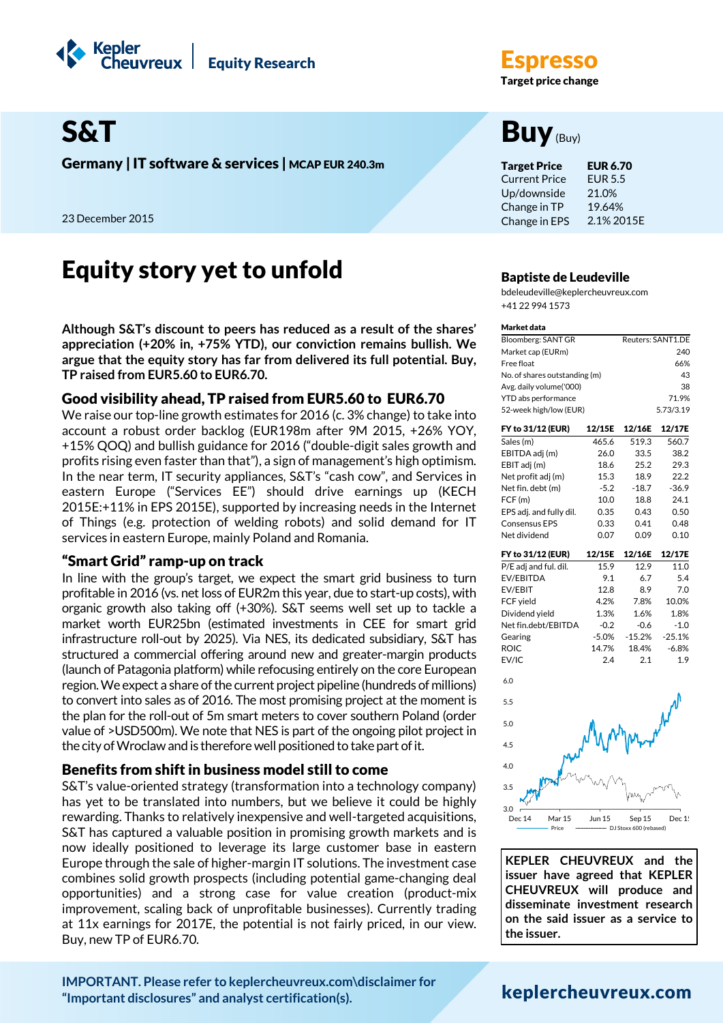

Germany | IT software & services | MCAP EUR 240.3m Target Price EUR 6.70

23 December 2015

# **Equity story yet to unfold**  $B$ <sub>Baptiste de Leudeville</sub>

**Although S&T's discount to peers has reduced as a result of the shares' appreciation (+20% in, +75% YTD), our conviction remains bullish. We argue that the equity story has far from delivered its full potential. Buy, TP raised from EUR5.60 to EUR6.70.**

# Good visibility ahead, TP raised from EUR5.60 to EUR6.70

We raise our top-line growth estimates for 2016 (c. 3% change) to take into account a robust order backlog (EUR198m after 9M 2015, +26% YOY, +15% QOQ) and bullish guidance for 2016 ("double-digit sales growth and profits rising even faster than that"), a sign of management's high optimism. In the near term, IT security appliances, S&T's "cash cow", and Services in eastern Europe ("Services EE") should drive earnings up (KECH 2015E:+11% in EPS 2015E), supported by increasing needs in the Internet of Things (e.g. protection of welding robots) and solid demand for IT services in eastern Europe, mainly Poland and Romania.

## "Smart Grid" ramp-up on track

In line with the group's target, we expect the smart grid business to turn profitable in 2016 (vs. net loss of EUR2m this year, due to start-up costs), with organic growth also taking off (+30%). S&T seems well set up to tackle a market worth EUR25bn (estimated investments in CEE for smart grid infrastructure roll-out by 2025). Via NES, its dedicated subsidiary, S&T has structured a commercial offering around new and greater-margin products (launch of Patagonia platform) while refocusing entirely on the core European region. We expect a share of the current project pipeline (hundreds of millions) to convert into sales as of 2016. The most promising project at the moment is the plan for the roll-out of 5m smart meters to cover southern Poland (order value of >USD500m). We note that NES is part of the ongoing pilot project in the city of Wroclaw and is therefore well positioned to take part of it.

## Benefits from shift in business model still to come

S&T's value-oriented strategy (transformation into a technology company) has yet to be translated into numbers, but we believe it could be highly rewarding. Thanks to relatively inexpensive and well-targeted acquisitions, S&T has captured a valuable position in promising growth markets and is now ideally positioned to leverage its large customer base in eastern Europe through the sale of higher-margin IT solutions. The investment case combines solid growth prospects (including potential game-changing deal opportunities) and a strong case for value creation (product-mix improvement, scaling back of unprofitable businesses). Currently trading at 11x earnings for 2017E, the potential is not fairly priced, in our view. Buy, new TP of EUR6.70.

**Target price change** 

# S&T Buy<sub>(Buy)</sub>

Current Price Up/downside Change in TP Change in EPS EUR 5.5 21.0% 19.64% 2.1% 2015E

bdeleudeville@keplercheuvreux.com +41 22 994 1573

#### Market data

| Bloomberg: SANT GR            | Reuters: SANT1.DE |
|-------------------------------|-------------------|
| Market cap (EURm)             | 240               |
| Free float                    | 66%               |
| No. of shares outstanding (m) | 43                |
| Avg. daily volume('000)       | 38                |
| YTD abs performance           | 71.9%             |
| 52-week high/low (EUR)        | 5.73/3.19         |
|                               |                   |

| FY to 31/12 (EUR)       | 12/15E  | 12/16E  | 12/17E   |
|-------------------------|---------|---------|----------|
| Sales (m)               | 465.6   | 519.3   | 560.7    |
| EBITDA adj (m)          | 26.0    | 33.5    | 38.2     |
| EBIT adj (m)            | 18.6    | 25.2    | 29.3     |
| Net profit adj (m)      | 15.3    | 18.9    | 22.2     |
| Net fin. debt (m)       | $-5.2$  | $-18.7$ | $-36.9$  |
| FCF(m)                  | 10.0    | 18.8    | 24.1     |
| EPS adj. and fully dil. | 0.35    | 0.43    | 0.50     |
| <b>Consensus EPS</b>    | 0.33    | 0.41    | 0.48     |
| Net dividend            | 0.07    | 0.09    | 0.10     |
| FY to 31/12 (EUR)       | 12/15E  | 12/16E  | 12/17E   |
| P/E adj and ful. dil.   | 15.9    | 12.9    | 11.0     |
| EV/EBITDA               | 9.1     | 6.7     | 5.4      |
| EV/EBIT                 | 12.8    | 8.9     | 7.0      |
| FCF yield               | 4.2%    | 7.8%    | 10.0%    |
| Dividend yield          | 1.3%    | 1.6%    | 1.8%     |
| Net fin.debt/EBITDA     | $-0.2$  | $-0.6$  | $-1.0$   |
| Gearing                 | $-5.0%$ | -15.2%  | $-25.1%$ |
| <b>ROIC</b>             | 14.7%   | 18.4%   | $-6.8%$  |
| EV/IC                   | 2.4     | 2.1     | 1.9      |
| 6.0                     |         |         |          |
| 5.5                     |         |         |          |



**KEPLER CHEUVREUX and the issuer have agreed that KEPLER CHEUVREUX will produce and disseminate investment research on the said issuer as a service to the issuer.**

j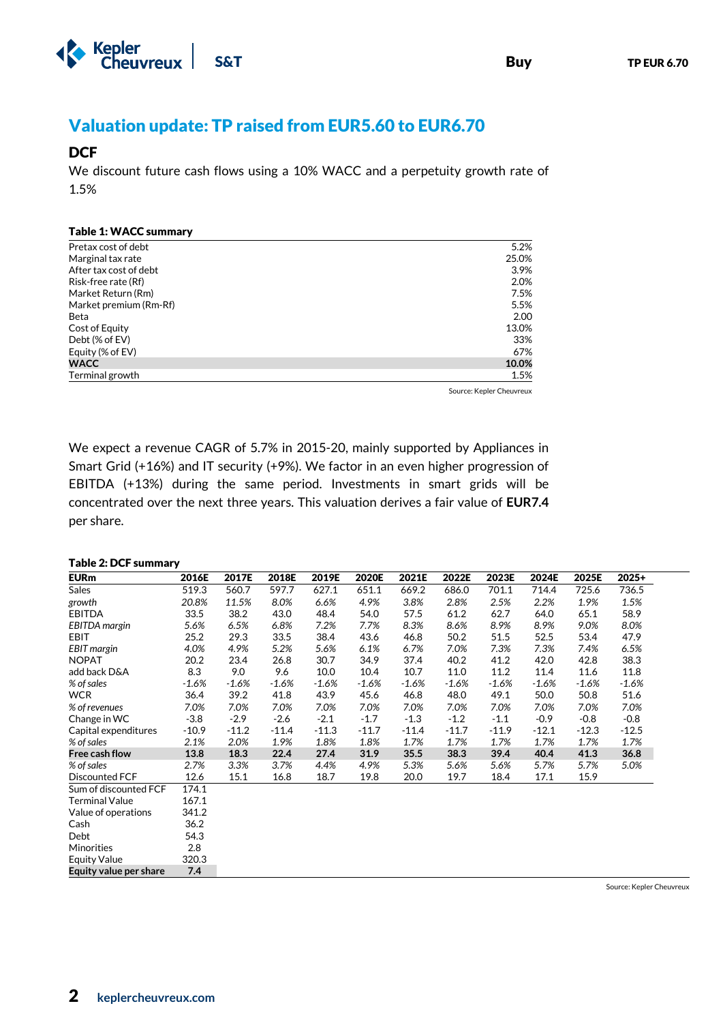

# Valuation update: TP raised from EUR5.60 to EUR6.70

# **DCF**

We discount future cash flows using a 10% WACC and a perpetuity growth rate of 1.5%

#### Table 1: WACC summary

| Pretax cost of debt    | 5.2%  |
|------------------------|-------|
| Marginal tax rate      | 25.0% |
| After tax cost of debt | 3.9%  |
| Risk-free rate (Rf)    | 2.0%  |
| Market Return (Rm)     | 7.5%  |
| Market premium (Rm-Rf) | 5.5%  |
| Beta                   | 2.00  |
| Cost of Equity         | 13.0% |
| Debt (% of EV)         | 33%   |
| Equity (% of EV)       | 67%   |
| <b>WACC</b>            | 10.0% |
| Terminal growth        | 1.5%  |

Source: Kepler Cheuvreux

We expect a revenue CAGR of 5.7% in 2015-20, mainly supported by Appliances in Smart Grid (+16%) and IT security (+9%). We factor in an even higher progression of EBITDA (+13%) during the same period. Investments in smart grids will be concentrated over the next three years. This valuation derives a fair value of **EUR7.4** per share.

#### Table 2: DCF summary

| <b>EURm</b>            | 2016E   | 2017E   | 2018E   | 2019E   | 2020E   | 2021E   | 2022E   | 2023E   | 2024E   | 2025E   | $2025+$ |
|------------------------|---------|---------|---------|---------|---------|---------|---------|---------|---------|---------|---------|
| <b>Sales</b>           | 519.3   | 560.7   | 597.7   | 627.1   | 651.1   | 669.2   | 686.0   | 701.1   | 714.4   | 725.6   | 736.5   |
| growth                 | 20.8%   | 11.5%   | 8.0%    | 6.6%    | 4.9%    | 3.8%    | 2.8%    | 2.5%    | 2.2%    | 1.9%    | 1.5%    |
| <b>EBITDA</b>          | 33.5    | 38.2    | 43.0    | 48.4    | 54.0    | 57.5    | 61.2    | 62.7    | 64.0    | 65.1    | 58.9    |
| EBITDA margin          | 5.6%    | 6.5%    | 6.8%    | 7.2%    | 7.7%    | 8.3%    | 8.6%    | 8.9%    | 8.9%    | 9.0%    | 8.0%    |
| EBIT                   | 25.2    | 29.3    | 33.5    | 38.4    | 43.6    | 46.8    | 50.2    | 51.5    | 52.5    | 53.4    | 47.9    |
| EBIT margin            | 4.0%    | 4.9%    | 5.2%    | 5.6%    | 6.1%    | 6.7%    | 7.0%    | 7.3%    | 7.3%    | 7.4%    | 6.5%    |
| <b>NOPAT</b>           | 20.2    | 23.4    | 26.8    | 30.7    | 34.9    | 37.4    | 40.2    | 41.2    | 42.0    | 42.8    | 38.3    |
| add back D&A           | 8.3     | 9.0     | 9.6     | 10.0    | 10.4    | 10.7    | 11.0    | 11.2    | 11.4    | 11.6    | 11.8    |
| % of sales             | $-1.6%$ | $-1.6%$ | $-1.6%$ | $-1.6%$ | $-1.6%$ | $-1.6%$ | $-1.6%$ | $-1.6%$ | $-1.6%$ | $-1.6%$ | $-1.6%$ |
| <b>WCR</b>             | 36.4    | 39.2    | 41.8    | 43.9    | 45.6    | 46.8    | 48.0    | 49.1    | 50.0    | 50.8    | 51.6    |
| % of revenues          | 7.0%    | 7.0%    | 7.0%    | 7.0%    | 7.0%    | 7.0%    | 7.0%    | 7.0%    | 7.0%    | 7.0%    | 7.0%    |
| Change in WC           | $-3.8$  | $-2.9$  | $-2.6$  | $-2.1$  | $-1.7$  | $-1.3$  | $-1.2$  | $-1.1$  | $-0.9$  | $-0.8$  | $-0.8$  |
| Capital expenditures   | $-10.9$ | $-11.2$ | $-11.4$ | $-11.3$ | $-11.7$ | $-11.4$ | $-11.7$ | $-11.9$ | $-12.1$ | $-12.3$ | $-12.5$ |
| % of sales             | 2.1%    | 2.0%    | 1.9%    | 1.8%    | 1.8%    | 1.7%    | 1.7%    | 1.7%    | 1.7%    | 1.7%    | 1.7%    |
| Free cash flow         | 13.8    | 18.3    | 22.4    | 27.4    | 31.9    | 35.5    | 38.3    | 39.4    | 40.4    | 41.3    | 36.8    |
| % of sales             | 2.7%    | 3.3%    | 3.7%    | 4.4%    | 4.9%    | 5.3%    | 5.6%    | 5.6%    | 5.7%    | 5.7%    | 5.0%    |
| Discounted FCF         | 12.6    | 15.1    | 16.8    | 18.7    | 19.8    | 20.0    | 19.7    | 18.4    | 17.1    | 15.9    |         |
| Sum of discounted FCF  | 174.1   |         |         |         |         |         |         |         |         |         |         |
| <b>Terminal Value</b>  | 167.1   |         |         |         |         |         |         |         |         |         |         |
| Value of operations    | 341.2   |         |         |         |         |         |         |         |         |         |         |
| Cash                   | 36.2    |         |         |         |         |         |         |         |         |         |         |
| Debt                   | 54.3    |         |         |         |         |         |         |         |         |         |         |
| Minorities             | 2.8     |         |         |         |         |         |         |         |         |         |         |
| <b>Equity Value</b>    | 320.3   |         |         |         |         |         |         |         |         |         |         |
| Equity value per share | 7.4     |         |         |         |         |         |         |         |         |         |         |

Source: Kepler Cheuvreux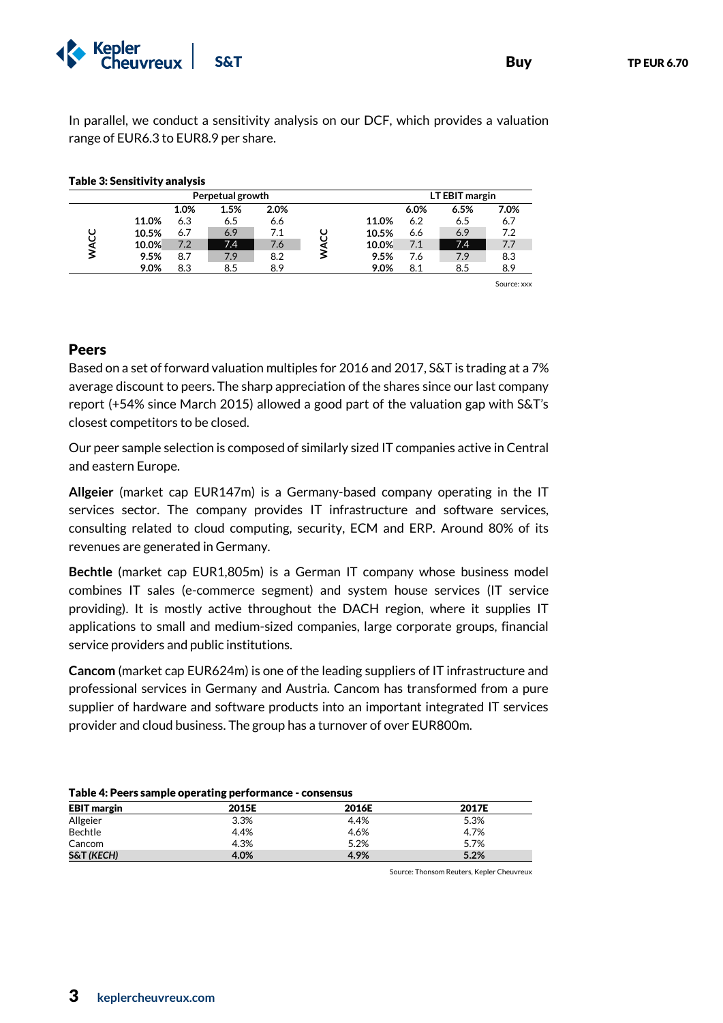

In parallel, we conduct a sensitivity analysis on our DCF, which provides a valuation range of EUR6.3 to EUR8.9 per share.

|       |      | Perpetual growth |      |       | LT EBIT margin |      |      |
|-------|------|------------------|------|-------|----------------|------|------|
|       | 1.0% | 1.5%             | 2.0% |       | 6.0%           | 6.5% | 7.0% |
| 11.0% | 6.3  | 6.5              | 6.6  | 11.0% | 6.2            | 6.5  | 6.7  |
| 10.5% | 6.7  | 6.9              | 7.1  | 10.5% | 6.6            | 6.9  | 7.2  |
| 10.0% | 7.2  | 7.4              | 7.6  | 10.0% | 7.1            | 7.4  | 7.7  |
| 9.5%  | 8.7  | 7.9              | 8.2  | 9.5%  | 7.6            | 7.9  | 8.3  |
| 9.0%  | 8.3  | 8.5              | 8.9  | 9.0%  | 8.1            | 8.5  | 8.9  |

### Table 3: Sensitivity analysis

### Peers

Based on a set of forward valuation multiples for 2016 and 2017, S&T is trading at a 7% average discount to peers. The sharp appreciation of the shares since our last company report (+54% since March 2015) allowed a good part of the valuation gap with S&T's closest competitors to be closed.

Our peer sample selection is composed of similarly sized IT companies active in Central and eastern Europe.

**Allgeier** (market cap EUR147m) is a Germany-based company operating in the IT services sector. The company provides IT infrastructure and software services, consulting related to cloud computing, security, ECM and ERP. Around 80% of its revenues are generated in Germany.

**Bechtle** (market cap EUR1,805m) is a German IT company whose business model combines IT sales (e-commerce segment) and system house services (IT service providing). It is mostly active throughout the DACH region, where it supplies IT applications to small and medium-sized companies, large corporate groups, financial service providers and public institutions.

**Cancom** (market cap EUR624m) is one of the leading suppliers of IT infrastructure and professional services in Germany and Austria. Cancom has transformed from a pure supplier of hardware and software products into an important integrated IT services provider and cloud business. The group has a turnover of over EUR800m.

| Table +. I cert stample operating performance consensus |       |       |       |  |  |  |  |
|---------------------------------------------------------|-------|-------|-------|--|--|--|--|
| <b>EBIT</b> margin                                      | 2015E | 2016E | 2017E |  |  |  |  |
| Allgeier                                                | 3.3%  | 4.4%  | 5.3%  |  |  |  |  |
| Bechtle                                                 | 4.4%  | 4.6%  | 4.7%  |  |  |  |  |
| Cancom                                                  | 4.3%  | 5.2%  | 5.7%  |  |  |  |  |
| <b>S&amp;T (KECH)</b>                                   | 4.0%  | 4.9%  | 5.2%  |  |  |  |  |

### Table 4: Peers sample operating performance - consensus

Source: Thonsom Reuters, Kepler Cheuvreux

Source: xxx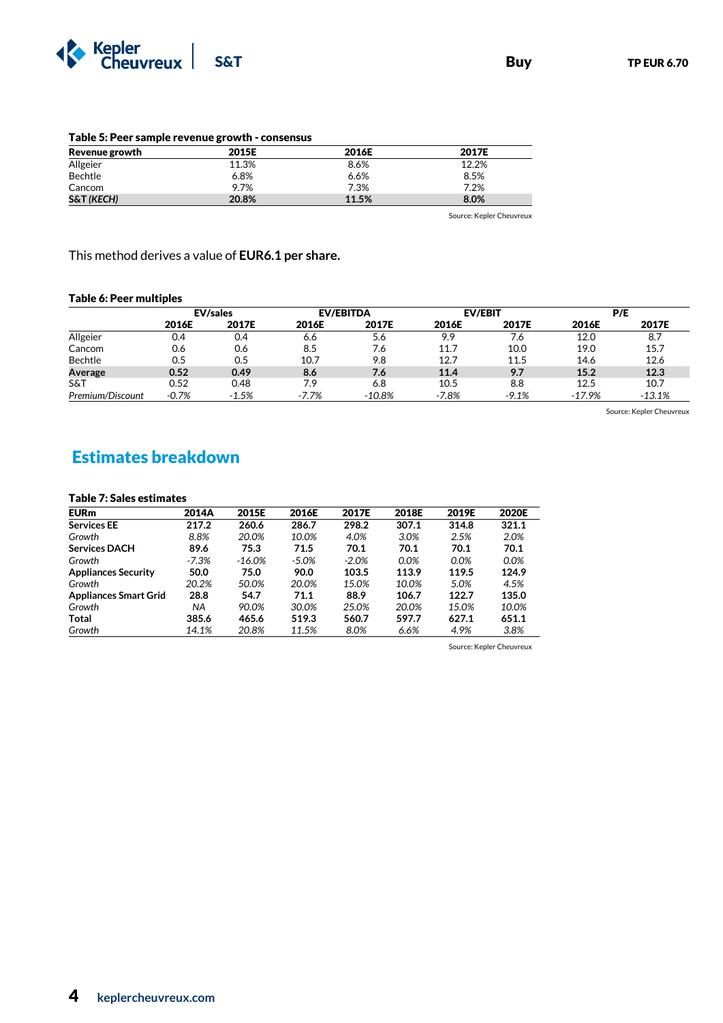

| Table 5. Feel sample revenue growth - consensus |       |       |       |  |  |  |  |  |
|-------------------------------------------------|-------|-------|-------|--|--|--|--|--|
| Revenue growth                                  | 2015E | 2016E | 2017E |  |  |  |  |  |
| Allgeier                                        | 11.3% | 8.6%  | 12.2% |  |  |  |  |  |
| Bechtle                                         | 6.8%  | 6.6%  | 8.5%  |  |  |  |  |  |
| Cancom                                          | 9.7%  | 7.3%  | 7.2%  |  |  |  |  |  |
| <b>S&amp;T (KECH)</b>                           | 20.8% | 11.5% | 8.0%  |  |  |  |  |  |

Table 5: Peer sample revenue growth - consensus

Source: Kepler Cheuvreux

This method derives a value of **EUR6.1 per share.**

### Table 6: Peer multiples

|                  | <b>EV/sales</b> |         | <b>EV/EBITDA</b> |           | <b>EV/EBIT</b> |         | P/E    |          |
|------------------|-----------------|---------|------------------|-----------|----------------|---------|--------|----------|
|                  | 2016E           | 2017E   | 2016E            | 2017E     | 2016E          | 2017E   | 2016E  | 2017E    |
| Allgeier         | 0.4             | 0.4     | 6.6              | 5.6       | 9.9            | 7.6     | 12.0   | 8.7      |
| Cancom           | 0.6             | 0.6     | 8.5              | 7.6       | 11.7           | 10.0    | 19.0   | 15.7     |
| Bechtle          | 0.5             | 0.5     | 10.7             | 9.8       | 12.7           | 11.5    | 14.6   | 12.6     |
| Average          | 0.52            | 0.49    | 8.6              | 7.6       | 11.4           | 9.7     | 15.2   | 12.3     |
| S&T              | 0.52            | 0.48    | 7.9              | 6.8       | 10.5           | 8.8     | 12.5   | 10.7     |
| Premium/Discount | $-0.7%$         | $-1.5%$ | $-7.7%$          | $-10.8\%$ | $-7.8%$        | $-9.1%$ | -17.9% | $-13.1%$ |

Source: Kepler Cheuvreux

# Estimates breakdown

### Table 7: Sales estimates

| Table 7. Jales estimates     |         |          |         |         |         |         |         |
|------------------------------|---------|----------|---------|---------|---------|---------|---------|
| <b>EURm</b>                  | 2014A   | 2015E    | 2016E   | 2017E   | 2018E   | 2019E   | 2020E   |
| <b>Services EE</b>           | 217.2   | 260.6    | 286.7   | 298.2   | 307.1   | 314.8   | 321.1   |
| Growth                       | 8.8%    | 20.0%    | 10.0%   | 4.0%    | 3.0%    | 2.5%    | 2.0%    |
| <b>Services DACH</b>         | 89.6    | 75.3     | 71.5    | 70.1    | 70.1    | 70.1    | 70.1    |
| Growth                       | $-7.3%$ | $-16.0%$ | $-5.0%$ | $-2.0%$ | $0.0\%$ | $0.0\%$ | $0.0\%$ |
| <b>Appliances Security</b>   | 50.0    | 75.0     | 90.0    | 103.5   | 113.9   | 119.5   | 124.9   |
| Growth                       | 20.2%   | 50.0%    | 20.0%   | 15.0%   | 10.0%   | 5.0%    | 4.5%    |
| <b>Appliances Smart Grid</b> | 28.8    | 54.7     | 71.1    | 88.9    | 106.7   | 122.7   | 135.0   |
| Growth                       | NA      | 90.0%    | 30.0%   | 25.0%   | 20.0%   | 15.0%   | 10.0%   |
| Total                        | 385.6   | 465.6    | 519.3   | 560.7   | 597.7   | 627.1   | 651.1   |
| Growth                       | 14.1%   | 20.8%    | 11.5%   | 8.0%    | 6.6%    | 4.9%    | 3.8%    |

Source: Kepler Cheuvreux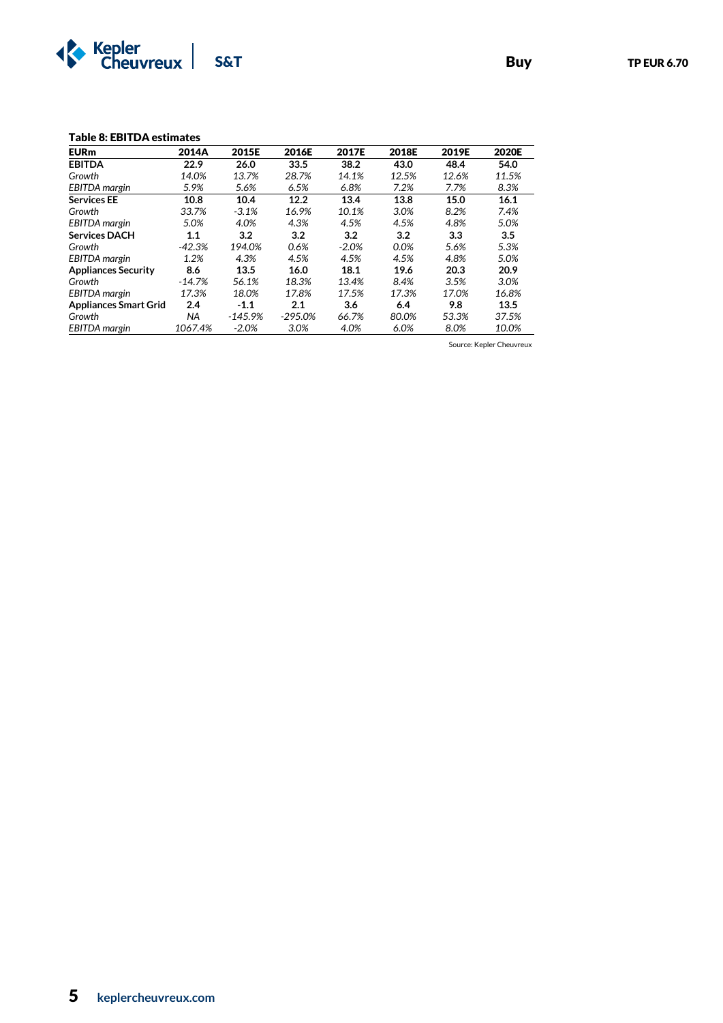

#### Table 8: EBITDA estimates

| <b>EURm</b>                  | 2014A    | 2015E     | 2016E     | 2017E   | 2018E | 2019E | 2020E |
|------------------------------|----------|-----------|-----------|---------|-------|-------|-------|
| <b>EBITDA</b>                | 22.9     | 26.0      | 33.5      | 38.2    | 43.0  | 48.4  | 54.0  |
| Growth                       | 14.0%    | 13.7%     | 28.7%     | 14.1%   | 12.5% | 12.6% | 11.5% |
| EBITDA margin                | 5.9%     | 5.6%      | 6.5%      | 6.8%    | 7.2%  | 7.7%  | 8.3%  |
| <b>Services EE</b>           | 10.8     | 10.4      | 12.2      | 13.4    | 13.8  | 15.0  | 16.1  |
| Growth                       | 33.7%    | $-3.1%$   | 16.9%     | 10.1%   | 3.0%  | 8.2%  | 7.4%  |
| EBITDA margin                | 5.0%     | 4.0%      | 4.3%      | 4.5%    | 4.5%  | 4.8%  | 5.0%  |
| <b>Services DACH</b>         | 1.1      | 3.2       | 3.2       | 3.2     | 3.2   | 3.3   | 3.5   |
| Growth                       | $-42.3%$ | 194.0%    | 0.6%      | $-2.0%$ | 0.0%  | 5.6%  | 5.3%  |
| EBITDA margin                | 1.2%     | 4.3%      | 4.5%      | 4.5%    | 4.5%  | 4.8%  | 5.0%  |
| <b>Appliances Security</b>   | 8.6      | 13.5      | 16.0      | 18.1    | 19.6  | 20.3  | 20.9  |
| Growth                       | $-14.7%$ | 56.1%     | 18.3%     | 13.4%   | 8.4%  | 3.5%  | 3.0%  |
| EBITDA margin                | 17.3%    | 18.0%     | 17.8%     | 17.5%   | 17.3% | 17.0% | 16.8% |
| <b>Appliances Smart Grid</b> | 2.4      | $-1.1$    | 2.1       | 3.6     | 6.4   | 9.8   | 13.5  |
| Growth                       | NA       | $-145.9%$ | $-295.0%$ | 66.7%   | 80.0% | 53.3% | 37.5% |
| EBITDA margin                | 1067.4%  | $-2.0%$   | 3.0%      | 4.0%    | 6.0%  | 8.0%  | 10.0% |

Source: Kepler Cheuvreux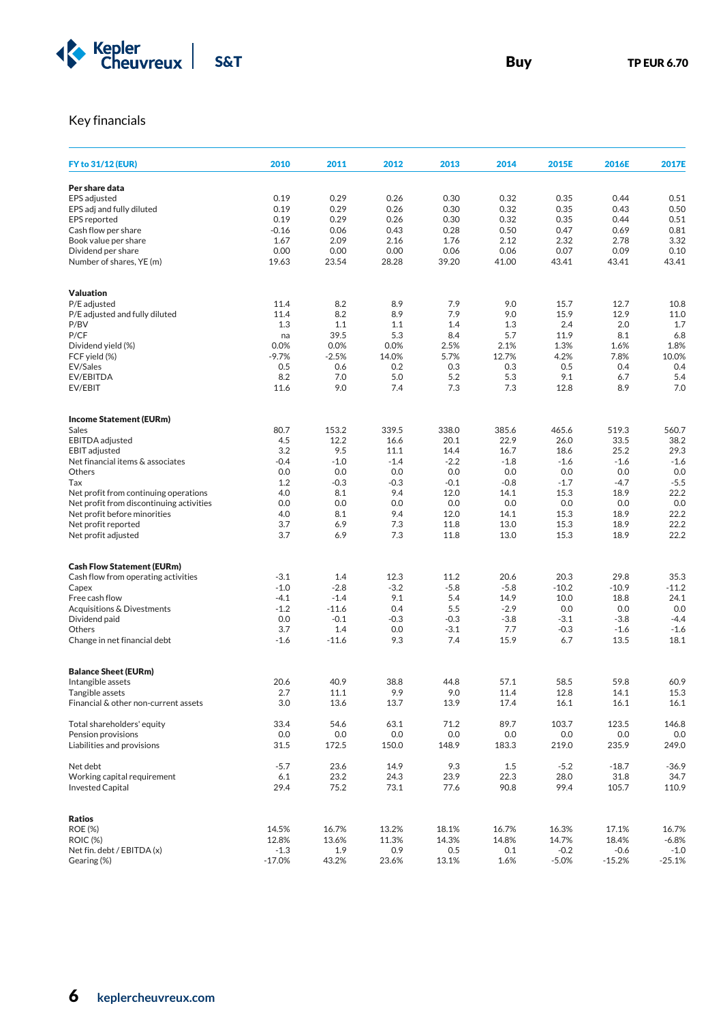

# Key financials

| FY to 31/12 (EUR)                        | 2010     | 2011    | 2012    | 2013   | 2014   | 2015E   | 2016E    | 2017E    |
|------------------------------------------|----------|---------|---------|--------|--------|---------|----------|----------|
|                                          |          |         |         |        |        |         |          |          |
| Per share data                           |          |         |         |        |        |         |          |          |
| <b>EPS</b> adjusted                      | 0.19     | 0.29    | 0.26    | 0.30   | 0.32   | 0.35    | 0.44     | 0.51     |
| EPS adj and fully diluted                | 0.19     | 0.29    | 0.26    | 0.30   | 0.32   | 0.35    | 0.43     | 0.50     |
| <b>EPS</b> reported                      | 0.19     | 0.29    | 0.26    | 0.30   | 0.32   | 0.35    | 0.44     | 0.51     |
| Cash flow per share                      | $-0.16$  | 0.06    | 0.43    | 0.28   | 0.50   | 0.47    | 0.69     | 0.81     |
| Book value per share                     | 1.67     | 2.09    | 2.16    | 1.76   | 2.12   | 2.32    | 2.78     | 3.32     |
| Dividend per share                       | 0.00     | 0.00    | 0.00    | 0.06   | 0.06   | 0.07    | 0.09     | 0.10     |
| Number of shares, YE (m)                 | 19.63    | 23.54   | 28.28   | 39.20  | 41.00  | 43.41   | 43.41    | 43.41    |
|                                          |          |         |         |        |        |         |          |          |
| Valuation                                |          |         |         |        |        |         |          |          |
| P/E adjusted                             | 11.4     | 8.2     | 8.9     | 7.9    | 9.0    | 15.7    | 12.7     | 10.8     |
| P/E adjusted and fully diluted           | 11.4     | 8.2     | 8.9     | 7.9    | 9.0    | 15.9    | 12.9     | 11.0     |
| P/BV                                     | 1.3      | 1.1     | 1.1     | 1.4    | 1.3    | 2.4     | 2.0      | 1.7      |
| P/CF                                     | na       | 39.5    | 5.3     | 8.4    | 5.7    | 11.9    | 8.1      | 6.8      |
| Dividend yield (%)                       | 0.0%     | 0.0%    | 0.0%    | 2.5%   | 2.1%   | 1.3%    | 1.6%     | 1.8%     |
| FCF yield (%)                            | $-9.7%$  | $-2.5%$ | 14.0%   | 5.7%   | 12.7%  | 4.2%    | 7.8%     | 10.0%    |
| EV/Sales                                 | 0.5      | 0.6     | 0.2     | 0.3    | 0.3    | 0.5     | 0.4      | 0.4      |
| EV/EBITDA                                | 8.2      | 7.0     | 5.0     | 5.2    | 5.3    | 9.1     | 6.7      | 5.4      |
| EV/EBIT                                  | 11.6     | 9.0     | 7.4     | 7.3    | 7.3    | 12.8    | 8.9      | 7.0      |
|                                          |          |         |         |        |        |         |          |          |
| <b>Income Statement (EURm)</b>           |          |         |         |        |        |         |          |          |
| Sales                                    | 80.7     | 153.2   | 339.5   | 338.0  | 385.6  | 465.6   | 519.3    | 560.7    |
| EBITDA adjusted                          | 4.5      | 12.2    | 16.6    | 20.1   | 22.9   | 26.0    | 33.5     | 38.2     |
| <b>EBIT</b> adjusted                     | 3.2      | 9.5     | 11.1    | 14.4   | 16.7   | 18.6    | 25.2     | 29.3     |
| Net financial items & associates         | $-0.4$   | $-1.0$  | $-1.4$  | $-2.2$ | $-1.8$ | $-1.6$  | $-1.6$   | $-1.6$   |
| Others                                   | 0.0      | 0.0     | 0.0     | 0.0    | 0.0    | 0.0     | 0.0      | 0.0      |
| Tax                                      | 1.2      | $-0.3$  | $-0.3$  | $-0.1$ | $-0.8$ | $-1.7$  | $-4.7$   | $-5.5$   |
| Net profit from continuing operations    | 4.0      | 8.1     | 9.4     | 12.0   | 14.1   | 15.3    | 18.9     | 22.2     |
| Net profit from discontinuing activities | 0.0      | 0.0     | 0.0     | 0.0    | 0.0    | 0.0     | 0.0      | 0.0      |
| Net profit before minorities             | 4.0      | 8.1     | 9.4     | 12.0   | 14.1   | 15.3    | 18.9     | 22.2     |
| Net profit reported                      | 3.7      | 6.9     | 7.3     | 11.8   | 13.0   | 15.3    | 18.9     | 22.2     |
| Net profit adjusted                      | 3.7      | 6.9     | 7.3     | 11.8   | 13.0   | 15.3    | 18.9     | 22.2     |
|                                          |          |         |         |        |        |         |          |          |
| <b>Cash Flow Statement (EURm)</b>        |          |         |         |        |        |         |          |          |
|                                          |          |         | 12.3    |        |        |         | 29.8     |          |
| Cash flow from operating activities      | $-3.1$   | 1.4     |         | 11.2   | 20.6   | 20.3    |          | 35.3     |
| Capex                                    | $-1.0$   | $-2.8$  | $-3.2$  | $-5.8$ | $-5.8$ | $-10.2$ | $-10.9$  | $-11.2$  |
| Free cash flow                           | $-4.1$   | $-1.4$  | 9.1     | 5.4    | 14.9   | 10.0    | 18.8     | 24.1     |
| Acquisitions & Divestments               | $-1.2$   | $-11.6$ | 0.4     | 5.5    | $-2.9$ | 0.0     | 0.0      | 0.0      |
| Dividend paid                            | 0.0      | $-0.1$  | $-0.3$  | $-0.3$ | $-3.8$ | $-3.1$  | $-3.8$   | $-4.4$   |
| Others                                   | 3.7      | 1.4     | 0.0     | $-3.1$ | 7.7    | $-0.3$  | $-1.6$   | $-1.6$   |
| Change in net financial debt             | $-1.6$   | $-11.6$ | 9.3     | 7.4    | 15.9   | 6.7     | 13.5     | 18.1     |
|                                          |          |         |         |        |        |         |          |          |
| <b>Balance Sheet (EURm)</b>              |          |         |         |        |        |         |          |          |
| Intangible assets                        | 20.6     | 40.9    | 38.8    | 44.8   | 57.1   | 58.5    | 59.8     | 60.9     |
| Tangible assets                          | 2.7      | 11.1    | 9.9     | 9.0    | 11.4   | 12.8    | 14.1     | 15.3     |
| Financial & other non-current assets     | 3.0      | 13.6    | 13.7    | 13.9   | 17.4   | 16.1    | 16.1     | 16.1     |
| Total shareholders' equity               | 33.4     | 54.6    | 63.1    | 71.2   | 89.7   | 103.7   | 123.5    | 146.8    |
| Pension provisions                       | 0.0      | 0.0     | $0.0\,$ | 0.0    | 0.0    | 0.0     | 0.0      | 0.0      |
| Liabilities and provisions               | 31.5     | 172.5   | 150.0   | 148.9  | 183.3  | 219.0   | 235.9    | 249.0    |
| Net debt                                 | $-5.7$   | 23.6    | 14.9    | 9.3    | 1.5    | $-5.2$  | $-18.7$  | $-36.9$  |
| Working capital requirement              | $6.1$    | 23.2    | 24.3    | 23.9   | 22.3   | 28.0    | 31.8     | 34.7     |
| <b>Invested Capital</b>                  | 29.4     | 75.2    | 73.1    | 77.6   | 90.8   | 99.4    | 105.7    | 110.9    |
|                                          |          |         |         |        |        |         |          |          |
| Ratios                                   |          |         |         |        |        |         |          |          |
| <b>ROE (%)</b>                           | 14.5%    | 16.7%   | 13.2%   | 18.1%  | 16.7%  | 16.3%   | 17.1%    | 16.7%    |
| <b>ROIC (%)</b>                          | 12.8%    | 13.6%   | 11.3%   | 14.3%  | 14.8%  | 14.7%   | 18.4%    | $-6.8%$  |
| Net fin. debt / EBITDA (x)               | $-1.3$   | 1.9     | 0.9     | 0.5    | 0.1    | $-0.2$  | $-0.6$   | $-1.0$   |
| Gearing (%)                              | $-17.0%$ | 43.2%   | 23.6%   | 13.1%  | 1.6%   | $-5.0%$ | $-15.2%$ | $-25.1%$ |